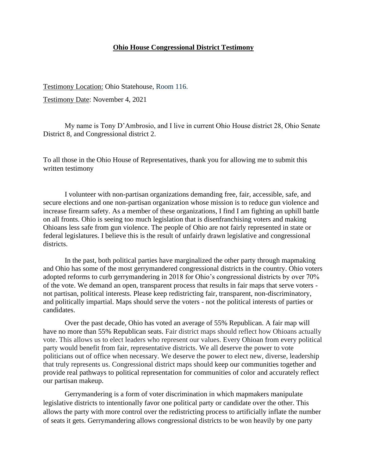## **Ohio House Congressional District Testimony**

Testimony Location: Ohio Statehouse, Room 116.

Testimony Date: November 4, 2021

My name is Tony D'Ambrosio, and I live in current Ohio House district 28, Ohio Senate District 8, and Congressional district 2.

To all those in the Ohio House of Representatives, thank you for allowing me to submit this written testimony

I volunteer with non-partisan organizations demanding free, fair, accessible, safe, and secure elections and one non-partisan organization whose mission is to reduce gun violence and increase firearm safety. As a member of these organizations, I find I am fighting an uphill battle on all fronts. Ohio is seeing too much legislation that is disenfranchising voters and making Ohioans less safe from gun violence. The people of Ohio are not fairly represented in state or federal legislatures. I believe this is the result of unfairly drawn legislative and congressional districts.

In the past, both political parties have marginalized the other party through mapmaking and Ohio has some of the most gerrymandered congressional districts in the country. Ohio voters adopted reforms to curb gerrymandering in 2018 for Ohio's congressional districts by over 70% of the vote. We demand an open, transparent process that results in fair maps that serve voters not partisan, political interests. Please keep redistricting fair, transparent, non-discriminatory, and politically impartial. Maps should serve the voters - not the political interests of parties or candidates.

Over the past decade, Ohio has voted an average of 55% Republican. A fair map will have no more than 55% Republican seats. Fair district maps should reflect how Ohioans actually vote. This allows us to elect leaders who represent our values. Every Ohioan from every political party would benefit from fair, representative districts. We all deserve the power to vote politicians out of office when necessary. We deserve the power to elect new, diverse, leadership that truly represents us. Congressional district maps should keep our communities together and provide real pathways to political representation for communities of color and accurately reflect our partisan makeup.

Gerrymandering is a form of voter discrimination in which mapmakers manipulate legislative districts to intentionally favor one political party or candidate over the other. This allows the party with more control over the redistricting process to artificially inflate the number of seats it gets. Gerrymandering allows congressional districts to be won heavily by one party